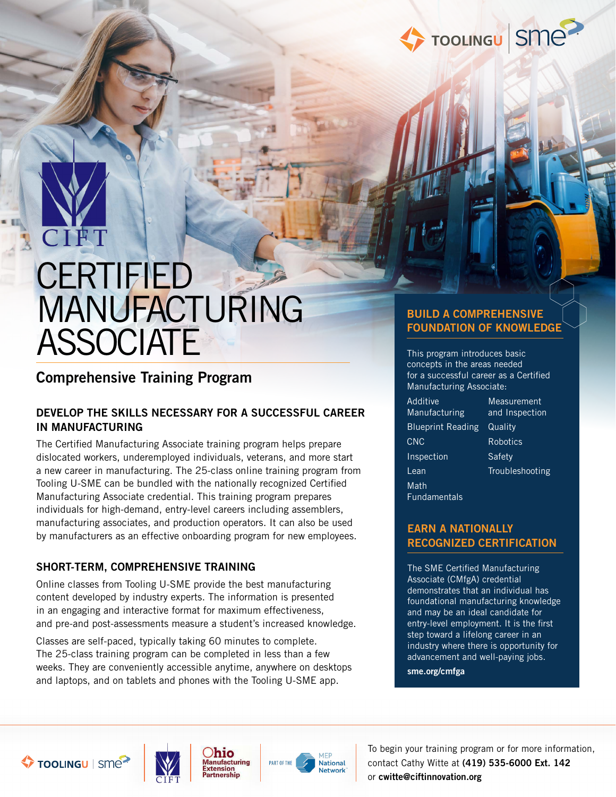

# CIET **CERTIFIED** MANUFACTURING **ASSOCIATE**

### Comprehensive Training Program

#### DEVELOP THE SKILLS NECESSARY FOR A SUCCESSFUL CAREER IN MANUFACTURING

The Certified Manufacturing Associate training program helps prepare dislocated workers, underemployed individuals, veterans, and more start a new career in manufacturing. The 25-class online training program from Tooling U-SME can be bundled with the nationally recognized Certified Manufacturing Associate credential. This training program prepares individuals for high-demand, entry-level careers including assemblers, manufacturing associates, and production operators. It can also be used by manufacturers as an effective onboarding program for new employees.

#### SHORT-TERM, COMPREHENSIVE TRAINING

Online classes from Tooling U-SME provide the best manufacturing content developed by industry experts. The information is presented in an engaging and interactive format for maximum effectiveness, and pre-and post-assessments measure a student's increased knowledge.

Classes are self-paced, typically taking 60 minutes to complete. The 25-class training program can be completed in less than a few weeks. They are conveniently accessible anytime, anywhere on desktops and laptops, and on tablets and phones with the Tooling U-SME app.

#### BUILD A COMPREHENSIVE FOUNDATION OF KNOWLEDGE

This program introduces basic concepts in the areas needed for a successful career as a Certified Manufacturing Associate:

Additive Manufacturing Blueprint Reading Quality CNC Inspection Lean Math Fundamentals

**Measurement** and Inspection Robotics **Safety** Troubleshooting

#### EARN A NATIONALLY RECOGNIZED CERTIFICATION

The SME Certified Manufacturing Associate (CMfgA) credential demonstrates that an individual has foundational manufacturing knowledge and may be an ideal candidate for entry-level employment. It is the first step toward a lifelong career in an industry where there is opportunity for advancement and well-paying jobs.

sme.org/cmfga









To begin your training program or for more information, contact Cathy Witte at (419) 535-6000 Ext. 142 or cwitte@ciftinnovation.org